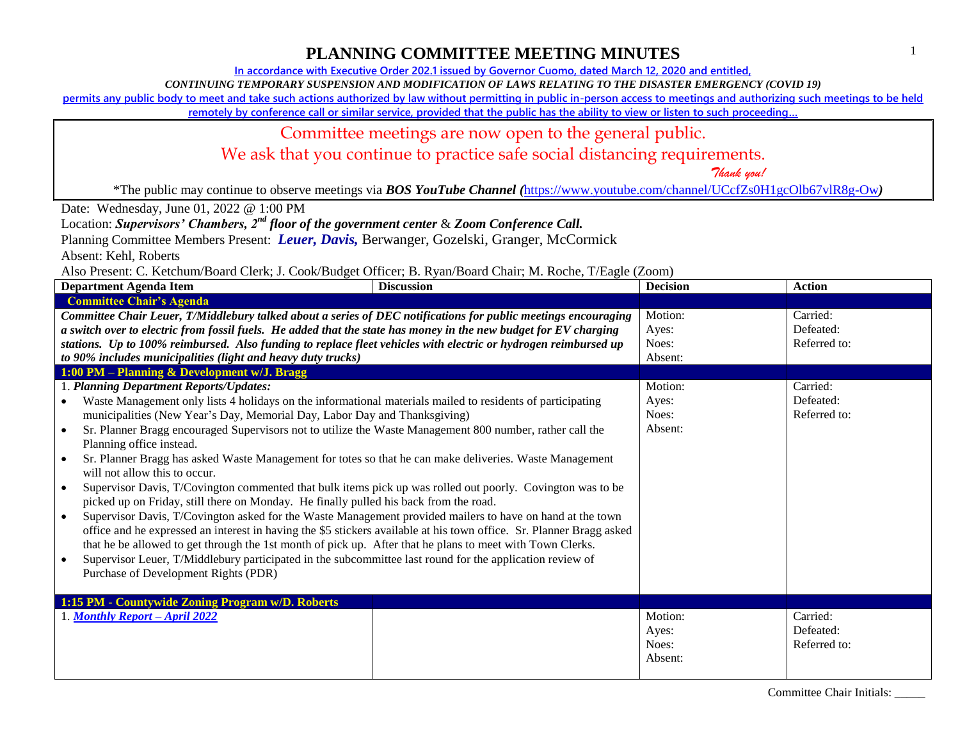**In accordance with Executive Order 202.1 issued by Governor Cuomo, dated March 12, 2020 and entitled,**

*CONTINUING TEMPORARY SUSPENSION AND MODIFICATION OF LAWS RELATING TO THE DISASTER EMERGENCY (COVID 19)*

**permits any public body to meet and take such actions authorized by law without permitting in public in-person access to meetings and authorizing such meetings to be held** 

**remotely by conference call or similar service, provided that the public has the ability to view or listen to such proceeding…**

#### Committee meetings are now open to the general public.

We ask that you continue to practice safe social distancing requirements.

 *Thank you!*

\*The public may continue to observe meetings via *BOS YouTube Channel (*<https://www.youtube.com/channel/UCcfZs0H1gcOlb67vlR8g-Ow>*)*

Date: Wednesday, June 01, 2022 @ 1:00 PM

Location: *Supervisors' Chambers, 2nd floor of the government center* & *Zoom Conference Call.*

Planning Committee Members Present: *Leuer, Davis,* Berwanger, Gozelski, Granger, McCormick

Absent: Kehl, Roberts

Also Present: C. Ketchum/Board Clerk; J. Cook/Budget Officer; B. Ryan/Board Chair; M. Roche, T/Eagle (Zoom)

| <b>Department Agenda Item</b>                                                                                        | <b>Discussion</b> | <b>Decision</b> | <b>Action</b> |
|----------------------------------------------------------------------------------------------------------------------|-------------------|-----------------|---------------|
| <b>Committee Chair's Agenda</b>                                                                                      |                   |                 |               |
| Committee Chair Leuer, T/Middlebury talked about a series of DEC notifications for public meetings encouraging       |                   | Motion:         | Carried:      |
| a switch over to electric from fossil fuels. He added that the state has money in the new budget for EV charging     |                   | Ayes:           | Defeated:     |
| stations. Up to 100% reimbursed. Also funding to replace fleet vehicles with electric or hydrogen reimbursed up      |                   | Noes:           | Referred to:  |
| to 90% includes municipalities (light and heavy duty trucks)                                                         |                   | Absent:         |               |
| 1:00 PM - Planning & Development w/J. Bragg                                                                          |                   |                 |               |
| 1. Planning Department Reports/Updates:                                                                              |                   | Motion:         | Carried:      |
| Waste Management only lists 4 holidays on the informational materials mailed to residents of participating           |                   | Ayes:           | Defeated:     |
| municipalities (New Year's Day, Memorial Day, Labor Day and Thanksgiving)                                            |                   | Noes:           | Referred to:  |
| Sr. Planner Bragg encouraged Supervisors not to utilize the Waste Management 800 number, rather call the             |                   | Absent:         |               |
| Planning office instead.                                                                                             |                   |                 |               |
| Sr. Planner Bragg has asked Waste Management for totes so that he can make deliveries. Waste Management              |                   |                 |               |
| will not allow this to occur.                                                                                        |                   |                 |               |
| Supervisor Davis, T/Covington commented that bulk items pick up was rolled out poorly. Covington was to be           |                   |                 |               |
| picked up on Friday, still there on Monday. He finally pulled his back from the road.                                |                   |                 |               |
| Supervisor Davis, T/Covington asked for the Waste Management provided mailers to have on hand at the town            |                   |                 |               |
| office and he expressed an interest in having the \$5 stickers available at his town office. Sr. Planner Bragg asked |                   |                 |               |
| that he be allowed to get through the 1st month of pick up. After that he plans to meet with Town Clerks.            |                   |                 |               |
| Supervisor Leuer, T/Middlebury participated in the subcommittee last round for the application review of             |                   |                 |               |
| Purchase of Development Rights (PDR)                                                                                 |                   |                 |               |
|                                                                                                                      |                   |                 |               |
| 1:15 PM - Countywide Zoning Program w/D. Roberts                                                                     |                   |                 |               |
| 1. Monthly Report - April 2022                                                                                       |                   | Motion:         | Carried:      |
|                                                                                                                      |                   | Ayes:           | Defeated:     |
|                                                                                                                      |                   | Noes:           | Referred to:  |
|                                                                                                                      |                   | Absent:         |               |
|                                                                                                                      |                   |                 |               |

Committee Chair Initials: \_\_\_\_\_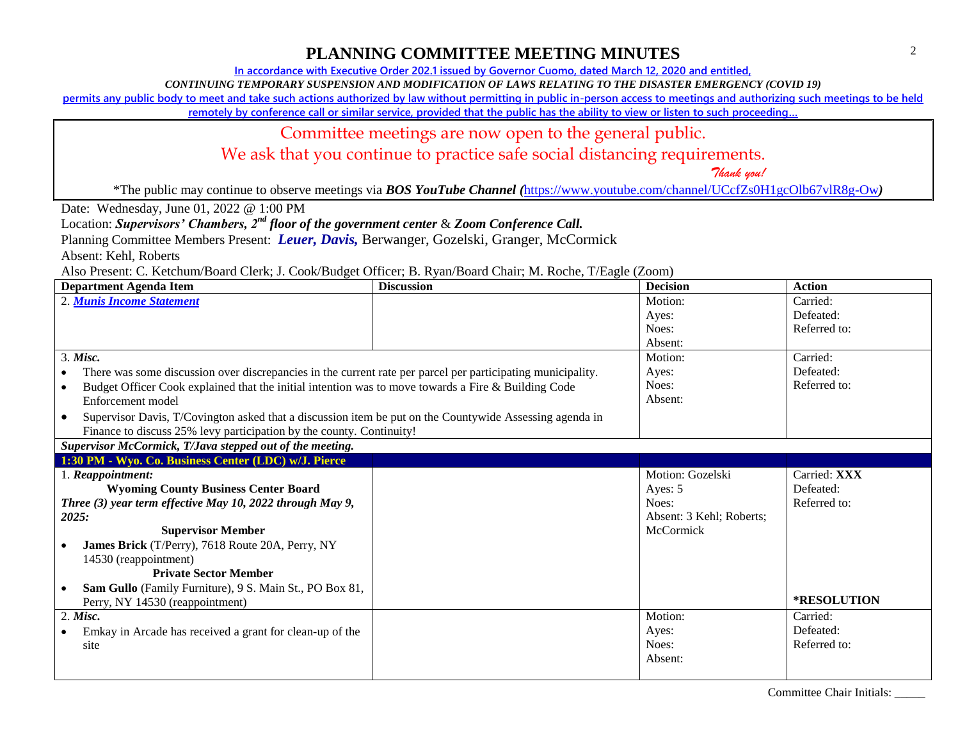**In accordance with Executive Order 202.1 issued by Governor Cuomo, dated March 12, 2020 and entitled,**

*CONTINUING TEMPORARY SUSPENSION AND MODIFICATION OF LAWS RELATING TO THE DISASTER EMERGENCY (COVID 19)*

**permits any public body to meet and take such actions authorized by law without permitting in public in-person access to meetings and authorizing such meetings to be held** 

**remotely by conference call or similar service, provided that the public has the ability to view or listen to such proceeding…**

#### Committee meetings are now open to the general public.

We ask that you continue to practice safe social distancing requirements.

 *Thank you!*

\*The public may continue to observe meetings via *BOS YouTube Channel (*<https://www.youtube.com/channel/UCcfZs0H1gcOlb67vlR8g-Ow>*)*

Date: Wednesday, June 01, 2022 @ 1:00 PM

Location: *Supervisors' Chambers, 2nd floor of the government center* & *Zoom Conference Call.*

Planning Committee Members Present: *Leuer, Davis,* Berwanger, Gozelski, Granger, McCormick

Absent: Kehl, Roberts

Also Present: C. Ketchum/Board Clerk; J. Cook/Budget Officer; B. Ryan/Board Chair; M. Roche, T/Eagle (Zoom)

| <b>Department Agenda Item</b>                                                                                                                                                                | <b>Discussion</b> | <b>Decision</b>          | <b>Action</b>      |
|----------------------------------------------------------------------------------------------------------------------------------------------------------------------------------------------|-------------------|--------------------------|--------------------|
| 2. Munis Income Statement                                                                                                                                                                    |                   | Motion:                  | Carried:           |
|                                                                                                                                                                                              |                   | Ayes:                    | Defeated:          |
|                                                                                                                                                                                              |                   | Noes:                    | Referred to:       |
|                                                                                                                                                                                              |                   | Absent:                  |                    |
| 3. Misc.                                                                                                                                                                                     |                   | Motion:                  | Carried:           |
| There was some discussion over discrepancies in the current rate per parcel per participating municipality.<br>$\bullet$                                                                     |                   | Ayes:                    | Defeated:          |
| Budget Officer Cook explained that the initial intention was to move towards a Fire & Building Code<br>$\bullet$<br>Enforcement model                                                        |                   | Noes:<br>Absent:         | Referred to:       |
| Supervisor Davis, T/Covington asked that a discussion item be put on the Countywide Assessing agenda in<br>$\bullet$<br>Finance to discuss 25% levy participation by the county. Continuity! |                   |                          |                    |
| Supervisor McCormick, T/Java stepped out of the meeting.                                                                                                                                     |                   |                          |                    |
| 1:30 PM - Wyo. Co. Business Center (LDC) w/J. Pierce                                                                                                                                         |                   |                          |                    |
| 1. Reappointment:                                                                                                                                                                            |                   | Motion: Gozelski         | Carried: XXX       |
| <b>Wyoming County Business Center Board</b>                                                                                                                                                  |                   | Ayes: 5                  | Defeated:          |
| Three (3) year term effective May 10, 2022 through May 9,                                                                                                                                    |                   | Noes:                    | Referred to:       |
| 2025:                                                                                                                                                                                        |                   | Absent: 3 Kehl; Roberts; |                    |
| <b>Supervisor Member</b>                                                                                                                                                                     |                   | McCormick                |                    |
| James Brick (T/Perry), 7618 Route 20A, Perry, NY                                                                                                                                             |                   |                          |                    |
| 14530 (reappointment)                                                                                                                                                                        |                   |                          |                    |
| <b>Private Sector Member</b>                                                                                                                                                                 |                   |                          |                    |
| Sam Gullo (Family Furniture), 9 S. Main St., PO Box 81,<br>Perry, NY 14530 (reappointment)                                                                                                   |                   |                          | <b>*RESOLUTION</b> |
| $2.$ Misc.                                                                                                                                                                                   |                   | Motion:                  | Carried:           |
| Emkay in Arcade has received a grant for clean-up of the                                                                                                                                     |                   | Ayes:                    | Defeated:          |
| site                                                                                                                                                                                         |                   | Noes:                    | Referred to:       |
|                                                                                                                                                                                              |                   | Absent:                  |                    |

Committee Chair Initials: \_\_\_\_\_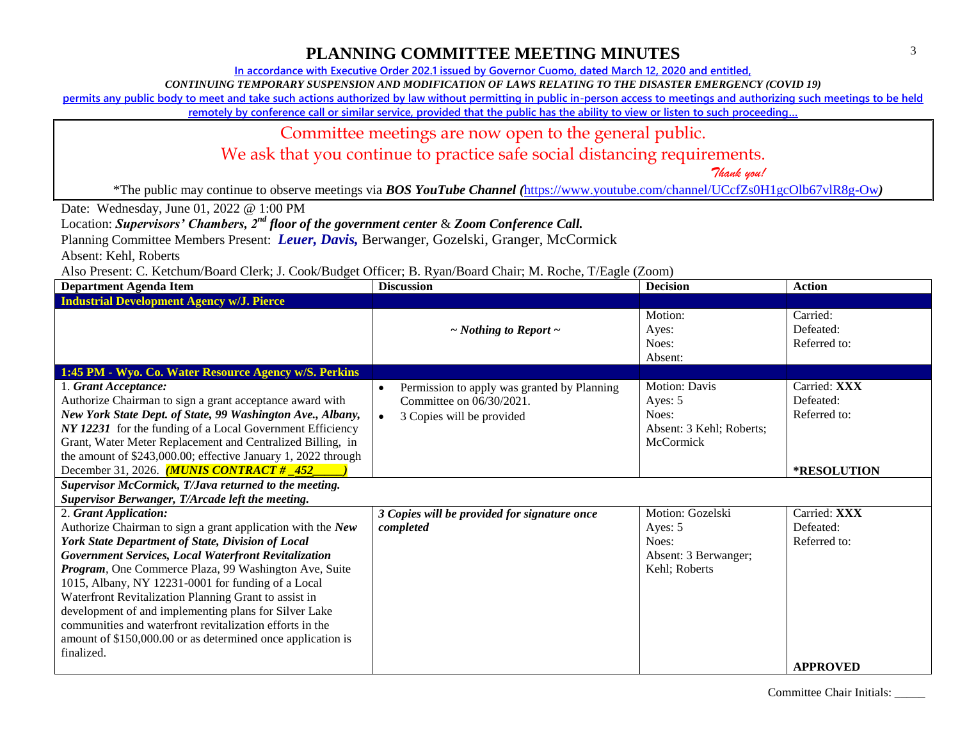**In accordance with Executive Order 202.1 issued by Governor Cuomo, dated March 12, 2020 and entitled,**

*CONTINUING TEMPORARY SUSPENSION AND MODIFICATION OF LAWS RELATING TO THE DISASTER EMERGENCY (COVID 19)*

**permits any public body to meet and take such actions authorized by law without permitting in public in-person access to meetings and authorizing such meetings to be held** 

**remotely by conference call or similar service, provided that the public has the ability to view or listen to such proceeding…**

#### Committee meetings are now open to the general public.

We ask that you continue to practice safe social distancing requirements.

 *Thank you!*

\*The public may continue to observe meetings via *BOS YouTube Channel (*<https://www.youtube.com/channel/UCcfZs0H1gcOlb67vlR8g-Ow>*)*

Date: Wednesday, June 01, 2022 @ 1:00 PM

Location: *Supervisors' Chambers, 2nd floor of the government center* & *Zoom Conference Call.*

Planning Committee Members Present: *Leuer, Davis,* Berwanger, Gozelski, Granger, McCormick

Absent: Kehl, Roberts

Also Present: C. Ketchum/Board Clerk; J. Cook/Budget Officer; B. Ryan/Board Chair; M. Roche, T/Eagle (Zoom)

| <b>Department Agenda Item</b>                                                                                                                                                                                                                                                                                                                                                                                                                                                                                                                                               | <b>Discussion</b>                                                                                                              | <b>Decision</b>                                                                   | <b>Action</b>                                            |  |
|-----------------------------------------------------------------------------------------------------------------------------------------------------------------------------------------------------------------------------------------------------------------------------------------------------------------------------------------------------------------------------------------------------------------------------------------------------------------------------------------------------------------------------------------------------------------------------|--------------------------------------------------------------------------------------------------------------------------------|-----------------------------------------------------------------------------------|----------------------------------------------------------|--|
| <b>Industrial Development Agency w/J. Pierce</b>                                                                                                                                                                                                                                                                                                                                                                                                                                                                                                                            |                                                                                                                                |                                                                                   |                                                          |  |
|                                                                                                                                                                                                                                                                                                                                                                                                                                                                                                                                                                             | $\sim$ Nothing to Report $\sim$                                                                                                | Motion:<br>Ayes:<br>Noes:<br>Absent:                                              | Carried:<br>Defeated:<br>Referred to:                    |  |
| 1:45 PM - Wyo. Co. Water Resource Agency w/S. Perkins                                                                                                                                                                                                                                                                                                                                                                                                                                                                                                                       |                                                                                                                                |                                                                                   |                                                          |  |
| 1. Grant Acceptance:<br>Authorize Chairman to sign a grant acceptance award with<br>New York State Dept. of State, 99 Washington Ave., Albany,<br>NY 12231 for the funding of a Local Government Efficiency<br>Grant, Water Meter Replacement and Centralized Billing, in<br>the amount of \$243,000.00; effective January 1, 2022 through<br>December 31, 2026. <i>(MUNIS CONTRACT # 452</i><br>Supervisor McCormick, T/Java returned to the meeting.                                                                                                                      | Permission to apply was granted by Planning<br>$\bullet$<br>Committee on 06/30/2021.<br>3 Copies will be provided<br>$\bullet$ | <b>Motion: Davis</b><br>Ayes: 5<br>Noes:<br>Absent: 3 Kehl; Roberts;<br>McCormick | Carried: XXX<br>Defeated:<br>Referred to:<br>*RESOLUTION |  |
| Supervisor Berwanger, T/Arcade left the meeting.                                                                                                                                                                                                                                                                                                                                                                                                                                                                                                                            |                                                                                                                                |                                                                                   |                                                          |  |
| 2. Grant Application:<br>Authorize Chairman to sign a grant application with the New<br>York State Department of State, Division of Local<br>Government Services, Local Waterfront Revitalization<br>Program, One Commerce Plaza, 99 Washington Ave, Suite<br>1015, Albany, NY 12231-0001 for funding of a Local<br>Waterfront Revitalization Planning Grant to assist in<br>development of and implementing plans for Silver Lake<br>communities and waterfront revitalization efforts in the<br>amount of \$150,000.00 or as determined once application is<br>finalized. | 3 Copies will be provided for signature once<br>completed                                                                      | Motion: Gozelski<br>Ayes: 5<br>Noes:<br>Absent: 3 Berwanger;<br>Kehl; Roberts     | Carried: XXX<br>Defeated:<br>Referred to:                |  |
|                                                                                                                                                                                                                                                                                                                                                                                                                                                                                                                                                                             |                                                                                                                                |                                                                                   | <b>APPROVED</b>                                          |  |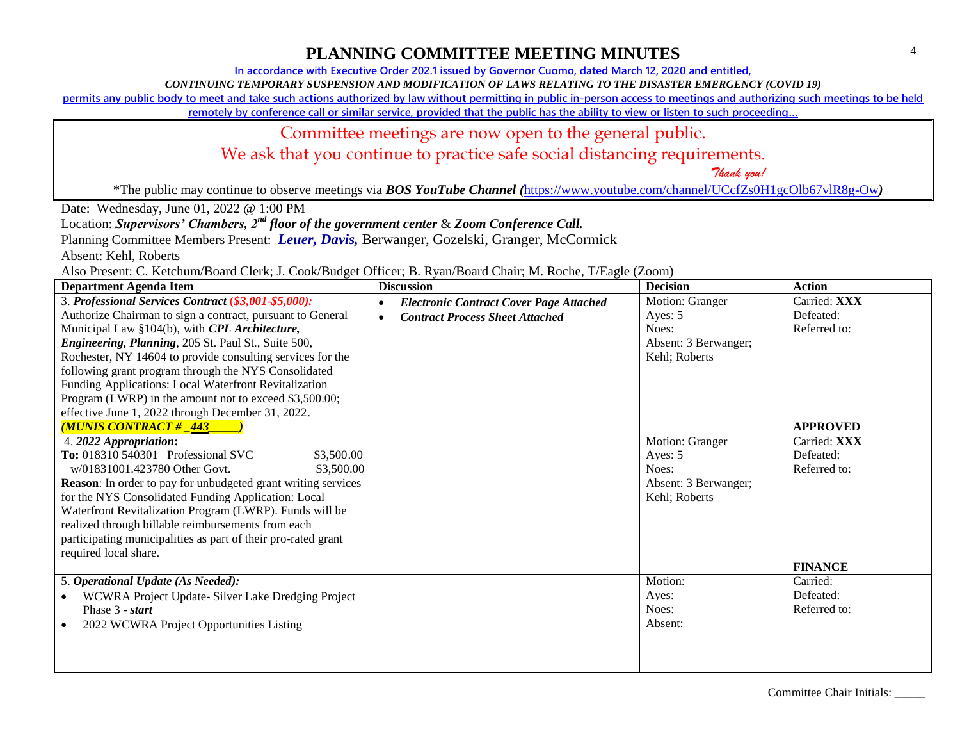**In accordance with Executive Order 202.1 issued by Governor Cuomo, dated March 12, 2020 and entitled,**

*CONTINUING TEMPORARY SUSPENSION AND MODIFICATION OF LAWS RELATING TO THE DISASTER EMERGENCY (COVID 19)*

**permits any public body to meet and take such actions authorized by law without permitting in public in-person access to meetings and authorizing such meetings to be held** 

**remotely by conference call or similar service, provided that the public has the ability to view or listen to such proceeding…**

#### Committee meetings are now open to the general public.

We ask that you continue to practice safe social distancing requirements.

 *Thank you!*

\*The public may continue to observe meetings via *BOS YouTube Channel (*<https://www.youtube.com/channel/UCcfZs0H1gcOlb67vlR8g-Ow>*)*

Date: Wednesday, June 01, 2022 @ 1:00 PM

Location: *Supervisors' Chambers, 2nd floor of the government center* & *Zoom Conference Call.*

Planning Committee Members Present: *Leuer, Davis,* Berwanger, Gozelski, Granger, McCormick

Absent: Kehl, Roberts

Also Present: C. Ketchum/Board Clerk; J. Cook/Budget Officer; B. Ryan/Board Chair; M. Roche, T/Eagle (Zoom)

| <b>Department Agenda Item</b>                                        | <b>Discussion</b>                                           | <b>Decision</b>      | <b>Action</b>   |
|----------------------------------------------------------------------|-------------------------------------------------------------|----------------------|-----------------|
| 3. Professional Services Contract (\$3,001-\$5,000):                 | <b>Electronic Contract Cover Page Attached</b><br>$\bullet$ | Motion: Granger      | Carried: XXX    |
| Authorize Chairman to sign a contract, pursuant to General           | <b>Contract Process Sheet Attached</b><br>$\bullet$         | Ayes: 5              | Defeated:       |
| Municipal Law §104(b), with CPL Architecture,                        |                                                             | Noes:                | Referred to:    |
| <i>Engineering, Planning, 205 St. Paul St., Suite 500,</i>           |                                                             | Absent: 3 Berwanger; |                 |
| Rochester, NY 14604 to provide consulting services for the           |                                                             | Kehl; Roberts        |                 |
| following grant program through the NYS Consolidated                 |                                                             |                      |                 |
| Funding Applications: Local Waterfront Revitalization                |                                                             |                      |                 |
| Program (LWRP) in the amount not to exceed \$3,500.00;               |                                                             |                      |                 |
| effective June 1, 2022 through December 31, 2022.                    |                                                             |                      |                 |
| <b>MUNIS CONTRACT # _443_</b>                                        |                                                             |                      | <b>APPROVED</b> |
| 4. 2022 Appropriation:                                               |                                                             | Motion: Granger      | Carried: XXX    |
| To: 018310 540301 Professional SVC<br>\$3,500.00                     |                                                             | Ayes: 5              | Defeated:       |
| w/01831001.423780 Other Govt.<br>\$3,500.00                          |                                                             | Noes:                | Referred to:    |
| <b>Reason:</b> In order to pay for unbudgeted grant writing services |                                                             | Absent: 3 Berwanger; |                 |
| for the NYS Consolidated Funding Application: Local                  |                                                             | Kehl; Roberts        |                 |
| Waterfront Revitalization Program (LWRP). Funds will be              |                                                             |                      |                 |
| realized through billable reimbursements from each                   |                                                             |                      |                 |
| participating municipalities as part of their pro-rated grant        |                                                             |                      |                 |
| required local share.                                                |                                                             |                      |                 |
|                                                                      |                                                             |                      | <b>FINANCE</b>  |
| 5. Operational Update (As Needed):                                   |                                                             | Motion:              | Carried:        |
| WCWRA Project Update- Silver Lake Dredging Project                   |                                                             | Ayes:                | Defeated:       |
| Phase 3 - start                                                      |                                                             | Noes:                | Referred to:    |
| 2022 WCWRA Project Opportunities Listing                             |                                                             | Absent:              |                 |
|                                                                      |                                                             |                      |                 |
|                                                                      |                                                             |                      |                 |
|                                                                      |                                                             |                      |                 |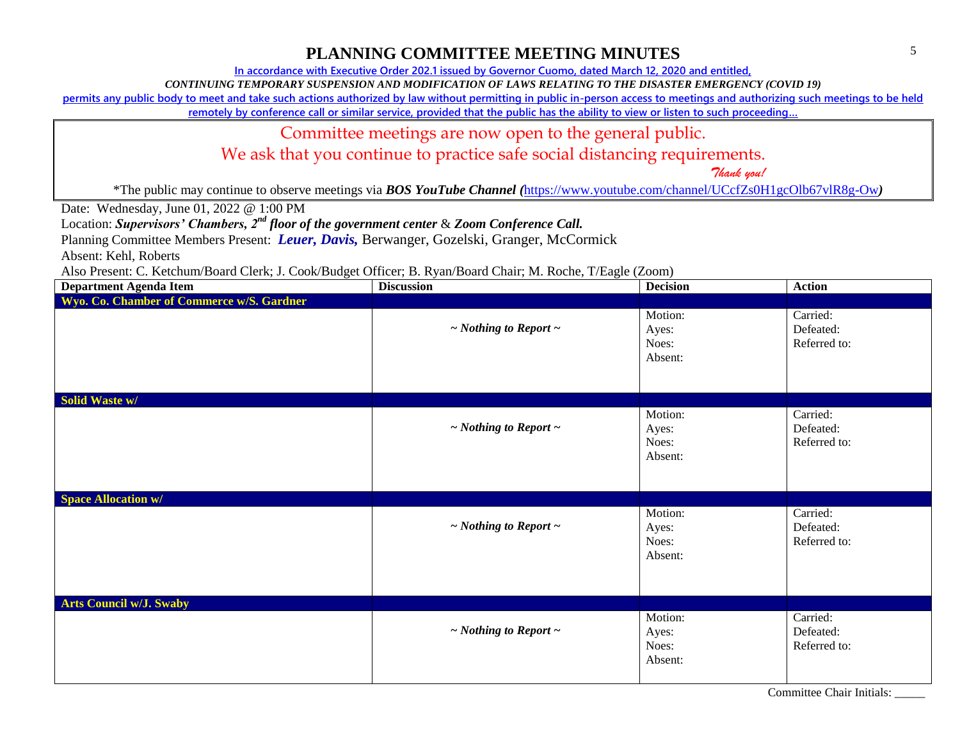**In accordance with Executive Order 202.1 issued by Governor Cuomo, dated March 12, 2020 and entitled,**

*CONTINUING TEMPORARY SUSPENSION AND MODIFICATION OF LAWS RELATING TO THE DISASTER EMERGENCY (COVID 19)*

**permits any public body to meet and take such actions authorized by law without permitting in public in-person access to meetings and authorizing such meetings to be held** 

**remotely by conference call or similar service, provided that the public has the ability to view or listen to such proceeding…**

Committee meetings are now open to the general public.

We ask that you continue to practice safe social distancing requirements.

 *Thank you!*

\*The public may continue to observe meetings via *BOS YouTube Channel (*<https://www.youtube.com/channel/UCcfZs0H1gcOlb67vlR8g-Ow>*)*

Date: Wednesday, June 01, 2022 @ 1:00 PM

Location: *Supervisors' Chambers, 2nd floor of the government center* & *Zoom Conference Call.*

Planning Committee Members Present: *Leuer, Davis,* Berwanger, Gozelski, Granger, McCormick

Absent: Kehl, Roberts

Also Present: C. Ketchum/Board Clerk; J. Cook/Budget Officer; B. Ryan/Board Chair; M. Roche, T/Eagle (Zoom)

| <b>Department Agenda Item</b>             | <b>Discussion</b>               | <b>Decision</b>                      | <b>Action</b>                         |
|-------------------------------------------|---------------------------------|--------------------------------------|---------------------------------------|
| Wyo. Co. Chamber of Commerce w/S. Gardner |                                 |                                      |                                       |
|                                           | $\sim$ Nothing to Report $\sim$ | Motion:<br>Ayes:<br>Noes:<br>Absent: | Carried:<br>Defeated:<br>Referred to: |
| <b>Solid Waste w/</b>                     |                                 |                                      |                                       |
|                                           | $\sim$ Nothing to Report $\sim$ | Motion:<br>Ayes:<br>Noes:<br>Absent: | Carried:<br>Defeated:<br>Referred to: |
| <b>Space Allocation w/</b>                |                                 |                                      |                                       |
|                                           | $\sim$ Nothing to Report $\sim$ | Motion:<br>Ayes:<br>Noes:<br>Absent: | Carried:<br>Defeated:<br>Referred to: |
| <b>Arts Council w/J. Swaby</b>            |                                 |                                      |                                       |
|                                           | $\sim$ Nothing to Report $\sim$ | Motion:<br>Ayes:<br>Noes:<br>Absent: | Carried:<br>Defeated:<br>Referred to: |

Committee Chair Initials: \_\_\_\_\_